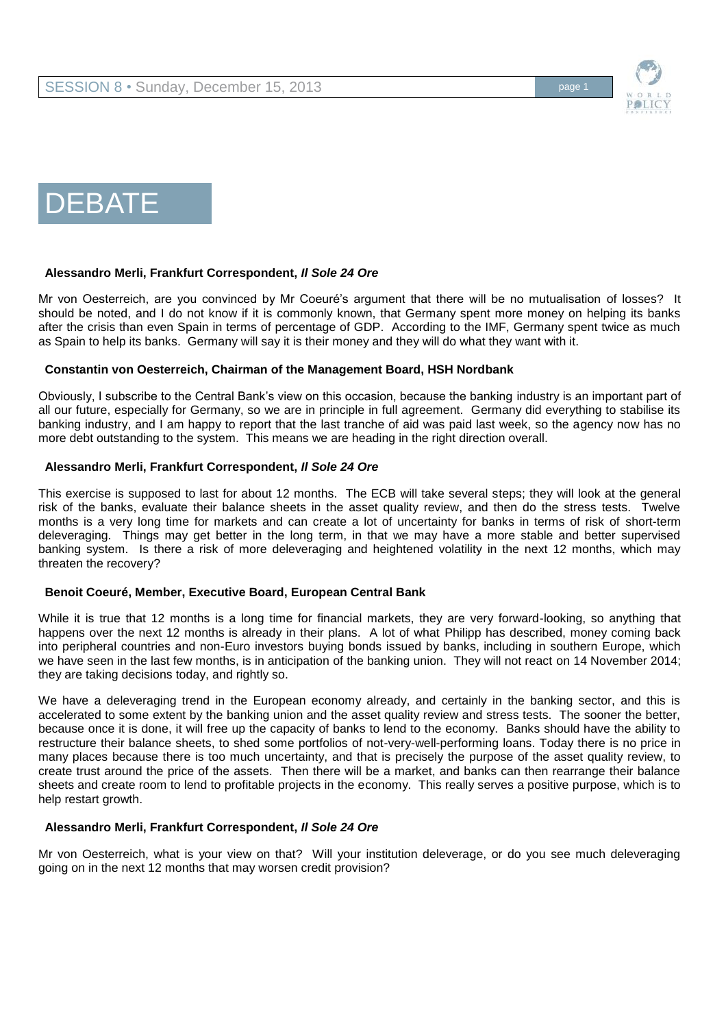

# DEBATE

## **Alessandro Merli, Frankfurt Correspondent,** *Il Sole 24 Ore*

Mr von Oesterreich, are you convinced by Mr Coeuré's argument that there will be no mutualisation of losses? It should be noted, and I do not know if it is commonly known, that Germany spent more money on helping its banks after the crisis than even Spain in terms of percentage of GDP. According to the IMF, Germany spent twice as much as Spain to help its banks. Germany will say it is their money and they will do what they want with it.

## **Constantin von Oesterreich, Chairman of the Management Board, HSH Nordbank**

Obviously, I subscribe to the Central Bank's view on this occasion, because the banking industry is an important part of all our future, especially for Germany, so we are in principle in full agreement. Germany did everything to stabilise its banking industry, and I am happy to report that the last tranche of aid was paid last week, so the agency now has no more debt outstanding to the system. This means we are heading in the right direction overall.

#### **Alessandro Merli, Frankfurt Correspondent,** *Il Sole 24 Ore*

This exercise is supposed to last for about 12 months. The ECB will take several steps; they will look at the general risk of the banks, evaluate their balance sheets in the asset quality review, and then do the stress tests. Twelve months is a very long time for markets and can create a lot of uncertainty for banks in terms of risk of short-term deleveraging. Things may get better in the long term, in that we may have a more stable and better supervised banking system. Is there a risk of more deleveraging and heightened volatility in the next 12 months, which may threaten the recovery?

## **Benoit Coeuré, Member, Executive Board, European Central Bank**

While it is true that 12 months is a long time for financial markets, they are very forward-looking, so anything that happens over the next 12 months is already in their plans. A lot of what Philipp has described, money coming back into peripheral countries and non-Euro investors buying bonds issued by banks, including in southern Europe, which we have seen in the last few months, is in anticipation of the banking union. They will not react on 14 November 2014; they are taking decisions today, and rightly so.

We have a deleveraging trend in the European economy already, and certainly in the banking sector, and this is accelerated to some extent by the banking union and the asset quality review and stress tests. The sooner the better, because once it is done, it will free up the capacity of banks to lend to the economy. Banks should have the ability to restructure their balance sheets, to shed some portfolios of not-very-well-performing loans. Today there is no price in many places because there is too much uncertainty, and that is precisely the purpose of the asset quality review, to create trust around the price of the assets. Then there will be a market, and banks can then rearrange their balance sheets and create room to lend to profitable projects in the economy. This really serves a positive purpose, which is to help restart growth.

## **Alessandro Merli, Frankfurt Correspondent,** *Il Sole 24 Ore*

Mr von Oesterreich, what is your view on that? Will your institution deleverage, or do you see much deleveraging going on in the next 12 months that may worsen credit provision?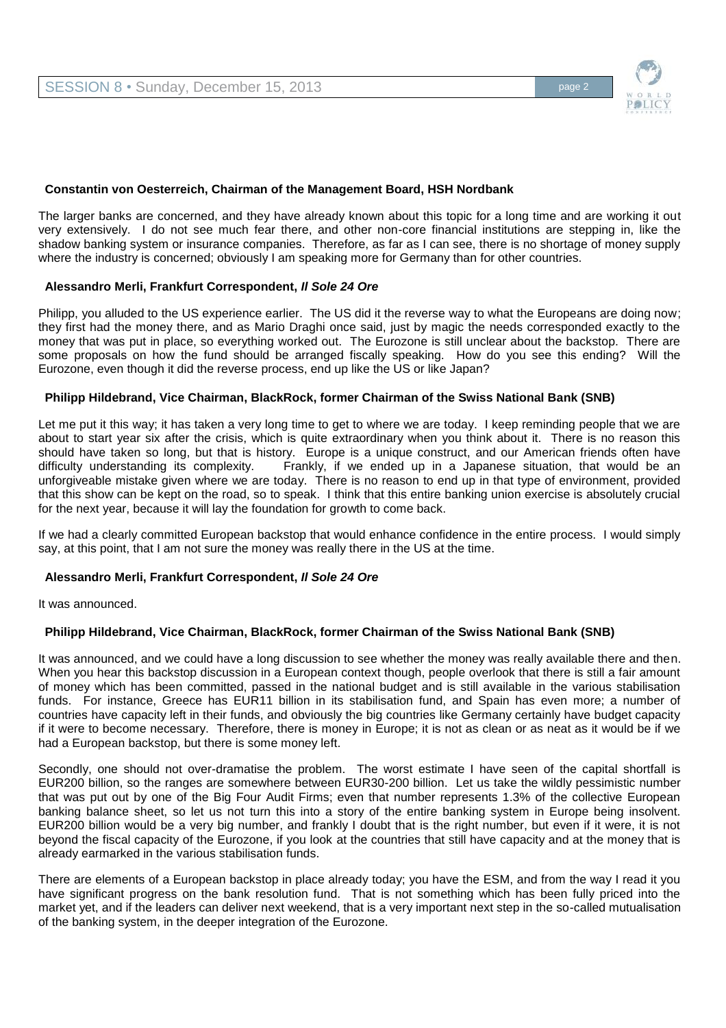

## **Constantin von Oesterreich, Chairman of the Management Board, HSH Nordbank**

The larger banks are concerned, and they have already known about this topic for a long time and are working it out very extensively. I do not see much fear there, and other non-core financial institutions are stepping in, like the shadow banking system or insurance companies. Therefore, as far as I can see, there is no shortage of money supply where the industry is concerned; obviously I am speaking more for Germany than for other countries.

## **Alessandro Merli, Frankfurt Correspondent,** *Il Sole 24 Ore*

Philipp, you alluded to the US experience earlier. The US did it the reverse way to what the Europeans are doing now; they first had the money there, and as Mario Draghi once said, just by magic the needs corresponded exactly to the money that was put in place, so everything worked out. The Eurozone is still unclear about the backstop. There are some proposals on how the fund should be arranged fiscally speaking. How do you see this ending? Will the Eurozone, even though it did the reverse process, end up like the US or like Japan?

#### **Philipp Hildebrand, Vice Chairman, BlackRock, former Chairman of the Swiss National Bank (SNB)**

Let me put it this way; it has taken a very long time to get to where we are today. I keep reminding people that we are about to start year six after the crisis, which is quite extraordinary when you think about it. There is no reason this should have taken so long, but that is history. Europe is a unique construct, and our American friends often have difficulty understanding its complexity. Frankly, if we ended up in a Japanese situation, that would be an unforgiveable mistake given where we are today. There is no reason to end up in that type of environment, provided that this show can be kept on the road, so to speak. I think that this entire banking union exercise is absolutely crucial for the next year, because it will lay the foundation for growth to come back.

If we had a clearly committed European backstop that would enhance confidence in the entire process. I would simply say, at this point, that I am not sure the money was really there in the US at the time.

## **Alessandro Merli, Frankfurt Correspondent,** *Il Sole 24 Ore*

It was announced.

## **Philipp Hildebrand, Vice Chairman, BlackRock, former Chairman of the Swiss National Bank (SNB)**

It was announced, and we could have a long discussion to see whether the money was really available there and then. When you hear this backstop discussion in a European context though, people overlook that there is still a fair amount of money which has been committed, passed in the national budget and is still available in the various stabilisation funds. For instance, Greece has EUR11 billion in its stabilisation fund, and Spain has even more; a number of countries have capacity left in their funds, and obviously the big countries like Germany certainly have budget capacity if it were to become necessary. Therefore, there is money in Europe; it is not as clean or as neat as it would be if we had a European backstop, but there is some money left.

Secondly, one should not over-dramatise the problem. The worst estimate I have seen of the capital shortfall is EUR200 billion, so the ranges are somewhere between EUR30-200 billion. Let us take the wildly pessimistic number that was put out by one of the Big Four Audit Firms; even that number represents 1.3% of the collective European banking balance sheet, so let us not turn this into a story of the entire banking system in Europe being insolvent. EUR200 billion would be a very big number, and frankly I doubt that is the right number, but even if it were, it is not beyond the fiscal capacity of the Eurozone, if you look at the countries that still have capacity and at the money that is already earmarked in the various stabilisation funds.

There are elements of a European backstop in place already today; you have the ESM, and from the way I read it you have significant progress on the bank resolution fund. That is not something which has been fully priced into the market yet, and if the leaders can deliver next weekend, that is a very important next step in the so-called mutualisation of the banking system, in the deeper integration of the Eurozone.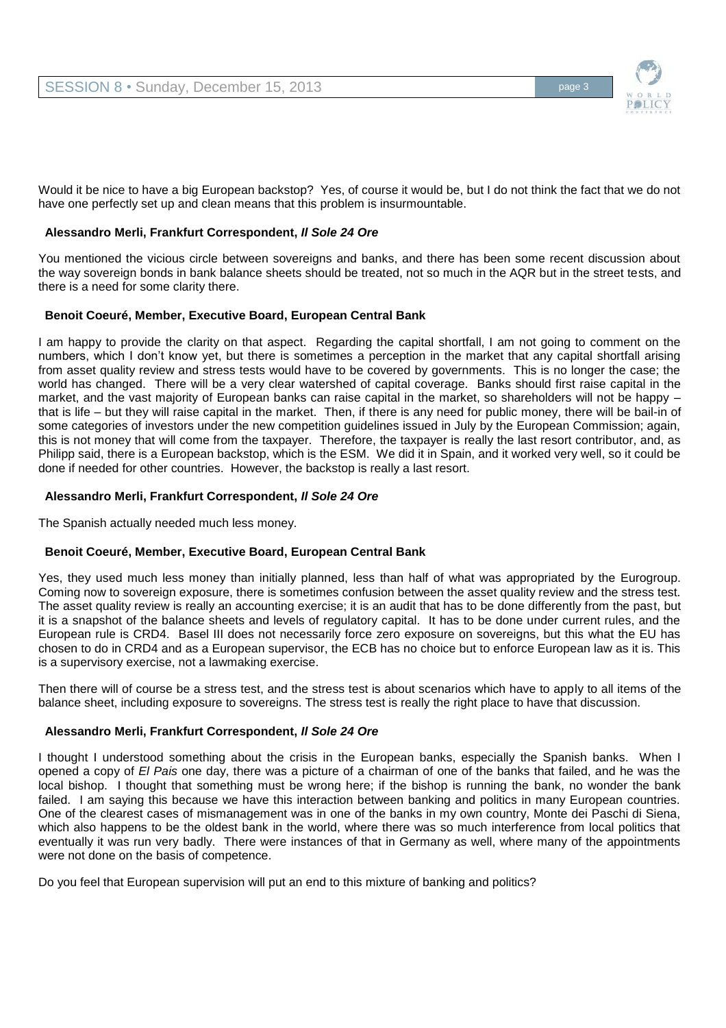

Would it be nice to have a big European backstop? Yes, of course it would be, but I do not think the fact that we do not have one perfectly set up and clean means that this problem is insurmountable.

# **Alessandro Merli, Frankfurt Correspondent,** *Il Sole 24 Ore*

You mentioned the vicious circle between sovereigns and banks, and there has been some recent discussion about the way sovereign bonds in bank balance sheets should be treated, not so much in the AQR but in the street tests, and there is a need for some clarity there.

# **Benoit Coeuré, Member, Executive Board, European Central Bank**

I am happy to provide the clarity on that aspect. Regarding the capital shortfall, I am not going to comment on the numbers, which I don't know yet, but there is sometimes a perception in the market that any capital shortfall arising from asset quality review and stress tests would have to be covered by governments. This is no longer the case; the world has changed. There will be a very clear watershed of capital coverage. Banks should first raise capital in the market, and the vast majority of European banks can raise capital in the market, so shareholders will not be happy that is life – but they will raise capital in the market. Then, if there is any need for public money, there will be bail-in of some categories of investors under the new competition guidelines issued in July by the European Commission; again, this is not money that will come from the taxpayer. Therefore, the taxpayer is really the last resort contributor, and, as Philipp said, there is a European backstop, which is the ESM. We did it in Spain, and it worked very well, so it could be done if needed for other countries. However, the backstop is really a last resort.

# **Alessandro Merli, Frankfurt Correspondent,** *Il Sole 24 Ore*

The Spanish actually needed much less money.

## **Benoit Coeuré, Member, Executive Board, European Central Bank**

Yes, they used much less money than initially planned, less than half of what was appropriated by the Eurogroup. Coming now to sovereign exposure, there is sometimes confusion between the asset quality review and the stress test. The asset quality review is really an accounting exercise; it is an audit that has to be done differently from the past, but it is a snapshot of the balance sheets and levels of regulatory capital. It has to be done under current rules, and the European rule is CRD4. Basel III does not necessarily force zero exposure on sovereigns, but this what the EU has chosen to do in CRD4 and as a European supervisor, the ECB has no choice but to enforce European law as it is. This is a supervisory exercise, not a lawmaking exercise.

Then there will of course be a stress test, and the stress test is about scenarios which have to apply to all items of the balance sheet, including exposure to sovereigns. The stress test is really the right place to have that discussion.

## **Alessandro Merli, Frankfurt Correspondent,** *Il Sole 24 Ore*

I thought I understood something about the crisis in the European banks, especially the Spanish banks. When I opened a copy of *El Pais* one day, there was a picture of a chairman of one of the banks that failed, and he was the local bishop. I thought that something must be wrong here; if the bishop is running the bank, no wonder the bank failed. I am saying this because we have this interaction between banking and politics in many European countries. One of the clearest cases of mismanagement was in one of the banks in my own country, Monte dei Paschi di Siena, which also happens to be the oldest bank in the world, where there was so much interference from local politics that eventually it was run very badly. There were instances of that in Germany as well, where many of the appointments were not done on the basis of competence.

Do you feel that European supervision will put an end to this mixture of banking and politics?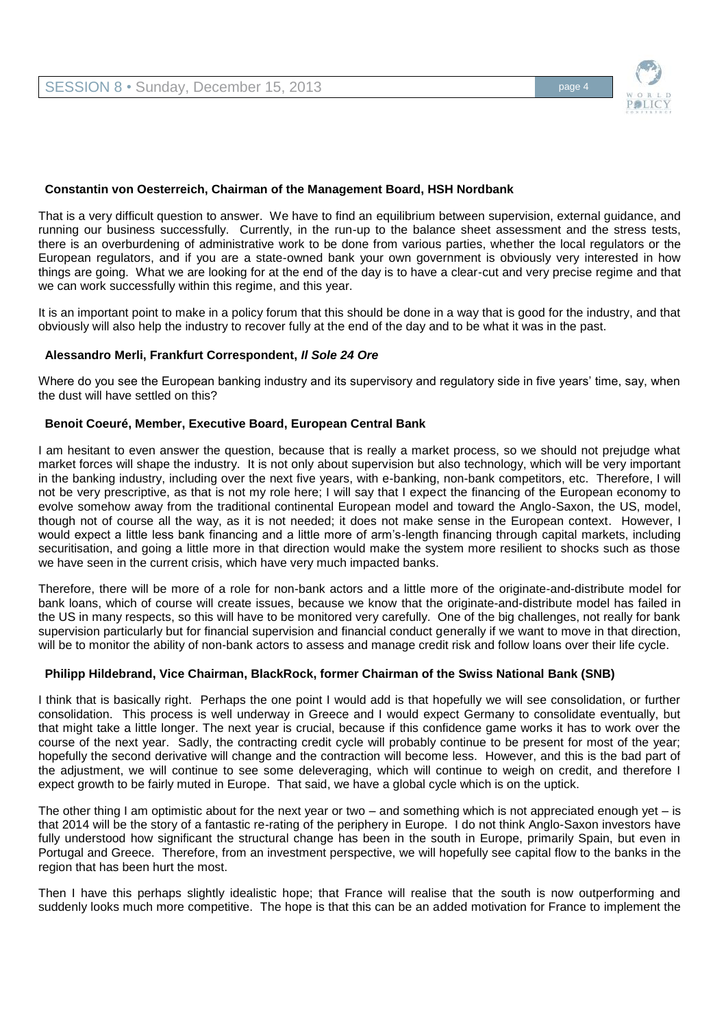

## **Constantin von Oesterreich, Chairman of the Management Board, HSH Nordbank**

That is a very difficult question to answer. We have to find an equilibrium between supervision, external guidance, and running our business successfully. Currently, in the run-up to the balance sheet assessment and the stress tests, there is an overburdening of administrative work to be done from various parties, whether the local regulators or the European regulators, and if you are a state-owned bank your own government is obviously very interested in how things are going. What we are looking for at the end of the day is to have a clear-cut and very precise regime and that we can work successfully within this regime, and this year.

It is an important point to make in a policy forum that this should be done in a way that is good for the industry, and that obviously will also help the industry to recover fully at the end of the day and to be what it was in the past.

#### **Alessandro Merli, Frankfurt Correspondent,** *Il Sole 24 Ore*

Where do you see the European banking industry and its supervisory and regulatory side in five years' time, say, when the dust will have settled on this?

#### **Benoit Coeuré, Member, Executive Board, European Central Bank**

I am hesitant to even answer the question, because that is really a market process, so we should not prejudge what market forces will shape the industry. It is not only about supervision but also technology, which will be very important in the banking industry, including over the next five years, with e-banking, non-bank competitors, etc. Therefore, I will not be very prescriptive, as that is not my role here; I will say that I expect the financing of the European economy to evolve somehow away from the traditional continental European model and toward the Anglo-Saxon, the US, model, though not of course all the way, as it is not needed; it does not make sense in the European context. However, I would expect a little less bank financing and a little more of arm's-length financing through capital markets, including securitisation, and going a little more in that direction would make the system more resilient to shocks such as those we have seen in the current crisis, which have very much impacted banks.

Therefore, there will be more of a role for non-bank actors and a little more of the originate-and-distribute model for bank loans, which of course will create issues, because we know that the originate-and-distribute model has failed in the US in many respects, so this will have to be monitored very carefully. One of the big challenges, not really for bank supervision particularly but for financial supervision and financial conduct generally if we want to move in that direction, will be to monitor the ability of non-bank actors to assess and manage credit risk and follow loans over their life cycle.

## **Philipp Hildebrand, Vice Chairman, BlackRock, former Chairman of the Swiss National Bank (SNB)**

I think that is basically right. Perhaps the one point I would add is that hopefully we will see consolidation, or further consolidation. This process is well underway in Greece and I would expect Germany to consolidate eventually, but that might take a little longer. The next year is crucial, because if this confidence game works it has to work over the course of the next year. Sadly, the contracting credit cycle will probably continue to be present for most of the year; hopefully the second derivative will change and the contraction will become less. However, and this is the bad part of the adjustment, we will continue to see some deleveraging, which will continue to weigh on credit, and therefore I expect growth to be fairly muted in Europe. That said, we have a global cycle which is on the uptick.

The other thing I am optimistic about for the next year or two  $-$  and something which is not appreciated enough yet  $-$  is that 2014 will be the story of a fantastic re-rating of the periphery in Europe. I do not think Anglo-Saxon investors have fully understood how significant the structural change has been in the south in Europe, primarily Spain, but even in Portugal and Greece. Therefore, from an investment perspective, we will hopefully see capital flow to the banks in the region that has been hurt the most.

Then I have this perhaps slightly idealistic hope; that France will realise that the south is now outperforming and suddenly looks much more competitive. The hope is that this can be an added motivation for France to implement the